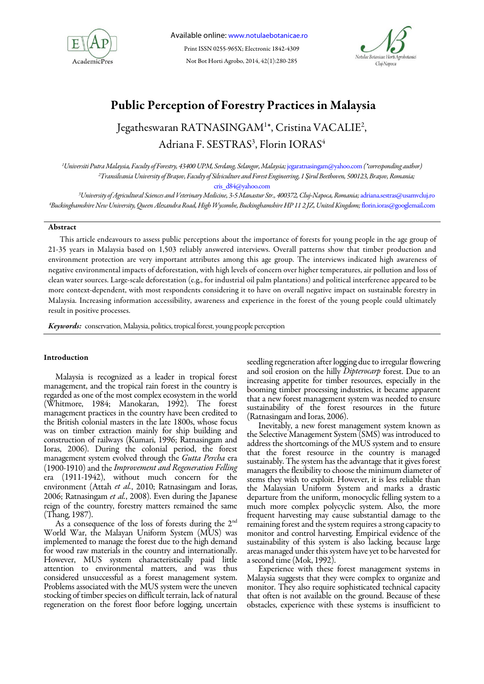

Print ISSN 0255-965X; Electronic 1842-4309 Not Bot Horti Agrobo, 2014, 42(1):280-285



# Public Perception of Forestry Practices in Malaysia

Jegatheswaran RATNASINGAM<sup>1</sup>\*, Cristina VACALIE<sup>2</sup>, Adriana F. SESTRAS<sup>3</sup>, Florin IORAS<sup>4</sup>

*<sup>1</sup>Universiti Putra Malaysia, Faculty of Forestry, 43400 UPM, Serdang, Selangor, Malaysia;* jegaratnasingam@yahoo.com *(\*corresponding author) <sup>2</sup>Transilvania University of Braşov, Faculty of Silviculture and Forest Engineering, 1 Şirul Beethoven, 500123, Braşov, Romania;*  cris\_d84@yahoo.com

*<sup>3</sup>University of Agricultural Sciences and Veterinary Medicine, 3-5 Manastur Str., 400372, Cluj-Napoca, Romania;* adriana.sestras@usamvcluj.ro *<sup>4</sup>Buckinghamshire New University, Queen Alexandra Road, High Wycombe, Buckinghamshire HP 11 2 JZ, United Kingdom;* florin.ioras@googlemail.com

## Abstract

This article endeavours to assess public perceptions about the importance of forests for young people in the age group of 21-35 years in Malaysia based on 1,503 reliably answered interviews. Overall patterns show that timber production and environment protection are very important attributes among this age group. The interviews indicated high awareness of negative environmental impacts of deforestation, with high levels of concern over higher temperatures, air pollution and loss of clean water sources. Large-scale deforestation (e.g., for industrial oil palm plantations) and political interference appeared to be more context-dependent, with most respondents considering it to have on overall negative impact on sustainable forestry in Malaysia. Increasing information accessibility, awareness and experience in the forest of the young people could ultimately result in positive processes.

Keywords: conservation, Malaysia, politics, tropical forest, young people perception

## Introduction

Malaysia is recognized as a leader in tropical forest management, and the tropical rain forest in the country is regarded as one of the most complex ecosystem in the world (Whitmore, 1984; Manokaran, 1992). The forest management practices in the country have been credited to the British colonial masters in the late 1800s, whose focus was on timber extraction mainly for ship building and construction of railways (Kumari, 1996; Ratnasingam and Ioras, 2006). During the colonial period, the forest management system evolved through the *Gutta Percha* era (1900-1910) and the *Improvement and Regeneration Felling* era (1911-1942), without much concern for the environment (Attah *et al.*, 2010; Ratnasingam and Ioras, 2006; Ratnasingam *et al.*, 2008). Even during the Japanese reign of the country, forestry matters remained the same (Thang, 1987).

As a consequence of the loss of forests during the  $2<sup>nd</sup>$ World War, the Malayan Uniform System (MUS) was implemented to manage the forest due to the high demand for wood raw materials in the country and internationally. However, MUS system characteristically paid little attention to environmental matters, and was thus considered unsuccessful as a forest management system. Problems associated with the MUS system were the uneven stocking of timber species on difficult terrain, lack of natural regeneration on the forest floor before logging, uncertain seedling regeneration after logging due to irregular flowering and soil erosion on the hilly *Dipterocarp* forest. Due to an increasing appetite for timber resources, especially in the booming timber processing industries, it became apparent that a new forest management system was needed to ensure sustainability of the forest resources in the future (Ratnasingam and Ioras, 2006).

Inevitably, a new forest management system known as the Selective Management System (SMS) was introduced to address the shortcomings of the MUS system and to ensure that the forest resource in the country is managed sustainably. The system has the advantage that it gives forest managers the flexibility to choose the minimum diameter of stems they wish to exploit. However, it is less reliable than the Malaysian Uniform System and marks a drastic departure from the uniform, monocyclic felling system to a much more complex polycyclic system. Also, the more frequent harvesting may cause substantial damage to the remaining forest and the system requires a strong capacity to monitor and control harvesting. Empirical evidence of the sustainability of this system is also lacking, because large areas managed under this system have yet to be harvested for a second time (Mok, 1992).

Experience with these forest management systems in Malaysia suggests that they were complex to organize and monitor. They also require sophisticated technical capacity that often is not available on the ground. Because of these obstacles, experience with these systems is insufficient to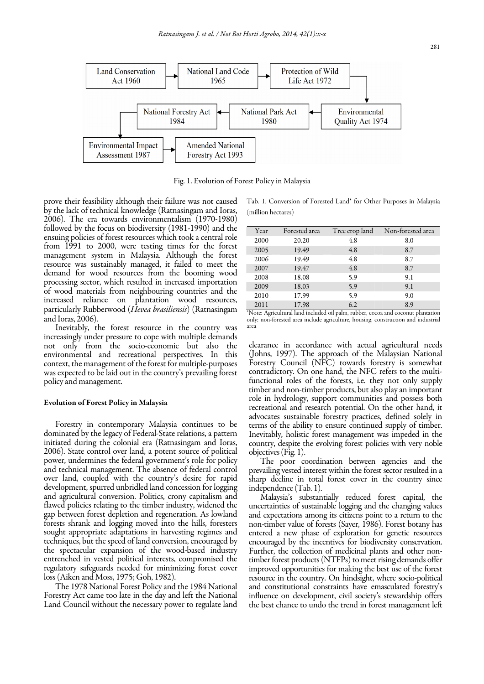

Fig. 1. Evolution of Forest Policy in Malaysia

prove their feasibility although their failure was not caused by the lack of technical knowledge (Ratnasingam and Ioras, 2006). The era towards environmentalism (1970-1980) followed by the focus on biodiversity (1981-1990) and the ensuing policies of forest resources which took a central role from 1991 to 2000, were testing times for the forest management system in Malaysia. Although the forest resource was sustainably managed, it failed to meet the demand for wood resources from the booming wood processing sector, which resulted in increased importation of wood materials from neighbouring countries and the increased reliance on plantation wood resources, particularly Rubberwood (*Hevea brasiliensis*) (Ratnasingam and Ioras, 2006).

Inevitably, the forest resource in the country was increasingly under pressure to cope with multiple demands not only from the socio-economic but also the environmental and recreational perspectives. In this context, the management of the forest for multiple-purposes was expected to be laid out in the country's prevailing forest policy and management.

#### Evolution of Forest Policy in Malaysia

Forestry in contemporary Malaysia continues to be dominated by the legacy of Federal-State relations, a pattern initiated during the colonial era (Ratnasingam and Ioras, 2006). State control over land, a potent source of political power, undermines the federal government's role for policy and technical management. The absence of federal control over land, coupled with the country's desire for rapid development, spurred unbridled land concession for logging and agricultural conversion. Politics, crony capitalism and flawed policies relating to the timber industry, widened the gap between forest depletion and regeneration. As lowland forests shrank and logging moved into the hills, foresters sought appropriate adaptations in harvesting regimes and techniques, but the speed of land conversion, encouraged by the spectacular expansion of the wood-based industry entrenched in vested political interests, compromised the regulatory safeguards needed for minimizing forest cover loss (Aiken and Moss, 1975; Goh, 1982).

The 1978 National Forest Policy and the 1984 National Forestry Act came too late in the day and left the National Land Council without the necessary power to regulate land

Tab. 1. Conversion of Forested Land\* for Other Purposes in Malaysia (million hectares)

| Year | Forested area | Tree crop land | Non-forested area |
|------|---------------|----------------|-------------------|
| 2000 | 20.20         | 4.8            | 8.0               |
| 2005 | 19.49         | 4.8            | 8.7               |
| 2006 | 19.49         | 4.8            | 8.7               |
| 2007 | 19.47         | 4.8            | 8.7               |
| 2008 | 18.08         | 5.9            | 9.1               |
| 2009 | 18.03         | 5.9            | 9.1               |
| 2010 | 17.99         | 5.9            | 9.0               |
| 2011 | 17.98         | 6.2            | 8.9               |

\*Note: Agricultural land included oil palm, rubber, cocoa and coconut plantation only; non-forested area include agriculture, housing, construction and industrial area

clearance in accordance with actual agricultural needs (Johns, 1997). The approach of the Malaysian National Forestry Council (NFC) towards forestry is somewhat contradictory. On one hand, the NFC refers to the multifunctional roles of the forests, i.e. they not only supply timber and non-timber products, but also play an important role in hydrology, support communities and possess both recreational and research potential. On the other hand, it advocates sustainable forestry practices, defined solely in terms of the ability to ensure continued supply of timber. Inevitably, holistic forest management was impeded in the country, despite the evolving forest policies with very noble objectives (Fig. 1).

The poor coordination between agencies and the prevailing vested interest within the forest sector resulted in a sharp decline in total forest cover in the country since independence (Tab. 1).

Malaysia's substantially reduced forest capital, the uncertainties of sustainable logging and the changing values and expectations among its citizens point to a return to the non-timber value of forests (Sayer, 1986). Forest botany has entered a new phase of exploration for genetic resources encouraged by the incentives for biodiversity conservation. Further, the collection of medicinal plants and other nontimber forest products (NTFPs) to meet rising demands offer improved opportunities for making the best use of the forest resource in the country. On hindsight, where socio-political and constitutional constraints have emasculated forestry's influence on development, civil society's stewardship offers the best chance to undo the trend in forest management left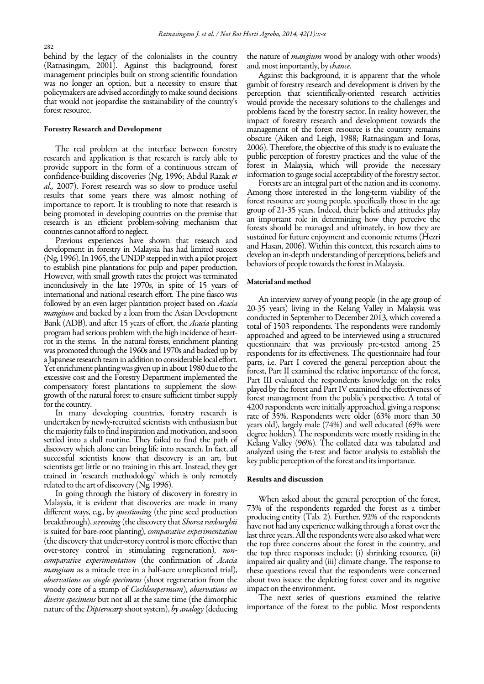behind by the legacy of the colonialists in the country (Ratnasingam, 2001). Against this background, forest management principles built on strong scientific foundation was no longer an option, but a necessity to ensure that policymakers are advised accordingly to make sound decisions that would not jeopardise the sustainability of the country's forest resource.

## Forestry Research and Development

The real problem at the interface between forestry research and application is that research is rarely able to provide support in the form of a continuous stream of confidence-building discoveries (Ng, 1996; Abdul Razak *et al.,* 2007). Forest research was so slow to produce useful results that some years there was almost nothing of importance to report. It is troubling to note that research is being promoted in developing countries on the premise that research is an efficient problem-solving mechanism that countries cannot afford to neglect.

 Bank (ADB), and after 15 years of effort, the *Acacia* planting program had serious problem with the high incidence of heart- Yet enrichment planting was given up in about 1980 due to the Previous experiences have shown that research and development in forestry in Malaysia has had limited success (Ng, 1996). In 1965, the UNDP stepped in with a pilot project to establish pine plantations for pulp and paper production. However, with small growth rates the project was terminated inconclusively in the late 1970s, in spite of 15 years of international and national research effort. The pine fiasco was followed by an even larger plantation project based on *Acacia mangium* and backed by a loan from the Asian Development rot in the stems. In the natural forests, enrichment planting was promoted through the 1960s and 1970s and backed up by a Japanese research team in addition to considerable local effort. excessive cost and the Forestry Department implemented the compensatory forest plantations to supplement the slowgrowth of the natural forest to ensure sufficient timber supply for the country.

In many developing countries, forestry research is undertaken by newly-recruited scientists with enthusiasm but the majority fails to find inspiration and motivation, and soon settled into a dull routine. They failed to find the path of discovery which alone can bring life into research. In fact, all successful scientists know that discovery is an art, but scientists get little or no training in this art. Instead, they get trained in 'research methodology' which is only remotely related to the art of discovery (Ng, 1996).

In going through the history of discovery in forestry in Malaysia, it is evident that discoveries are made in many different ways, e.g., by *questioning* (the pine seed production breakthrough), *screening* (the discovery that *Shorea roxburghii* is suited for bare-root planting), *comparative experimentation* (the discovery that under-storey control is more effective than over-storey control in stimulating regeneration), *noncomparative experimentation* (the confirmation of *Acacia mangium* as a miracle tree in a half-acre unreplicated trial), *observations on single specimens* (shoot regeneration from the woody core of a stump of *Cochleospermum*), *observations on diverse specimens* but not all at the same time (the dimorphic nature of the *Dipterocarp* shoot system), *by analogy* (deducing the nature of *mangium* wood by analogy with other woods) and, most importantly, by *chance*.

Against this background, it is apparent that the whole gambit of forestry research and development is driven by the perception that scientifically-oriented research activities would provide the necessary solutions to the challenges and problems faced by the forestry sector. In reality however, the impact of forestry research and development towards the management of the forest resource is the country remains obscure (Aiken and Leigh, 1988; Ratnasingam and Ioras, 2006). Therefore, the objective of this study is to evaluate the public perception of forestry practices and the value of the forest in Malaysia, which will provide the necessary information to gauge social acceptability of the forestry sector.

Forests are an integral part of the nation and its economy. Among those interested in the long-term viability of the forest resource are young people, specifically those in the age group of 21-35 years. Indeed, their beliefs and attitudes play an important role in determining how they perceive the forests should be managed and ultimately, in how they are sustained for future enjoyment and economic returns (Hezri and Hasan, 2006). Within this context, this research aims to develop an in-depth understanding of perceptions, beliefs and behaviors of people towards the forest in Malaysia.

#### Material and method

An interview survey of young people (in the age group of 20-35 years) living in the Kelang Valley in Malaysia was conducted in September to December 2013, which covered a total of 1503 respondents. The respondents were randomly approached and agreed to be interviewed using a structured questionnaire that was previously pre-tested among 25 respondents for its effectiveness. The questionnaire had four parts, i.e. Part I covered the general perception about the forest, Part II examined the relative importance of the forest, Part III evaluated the respondents knowledge on the roles played by the forest and Part IV examined the effectiveness of forest management from the public's perspective. A total of 4200 respondents were initially approached, giving a response rate of 35%. Respondents were older (63% more than 30 years old), largely male (74%) and well educated (69% were degree holders). The respondents were mostly residing in the Kelang Valley (96%). The collated data was tabulated and analyzed using the t-test and factor analysis to establish the key public perception of the forest and its importance.

## Results and discussion

When asked about the general perception of the forest, 73% of the respondents regarded the forest as a timber producing entity (Tab. 2). Further, 92% of the respondents have not had any experience walking through a forest over the last three years. All the respondents were also asked what were the top three concerns about the forest in the country, and the top three responses include: (i) shrinking resource, (ii) impaired air quality and (iii) climate change. The response to these questions reveal that the respondents were concerned about two issues: the depleting forest cover and its negative impact on the environment.

The next series of questions examined the relative importance of the forest to the public. Most respondents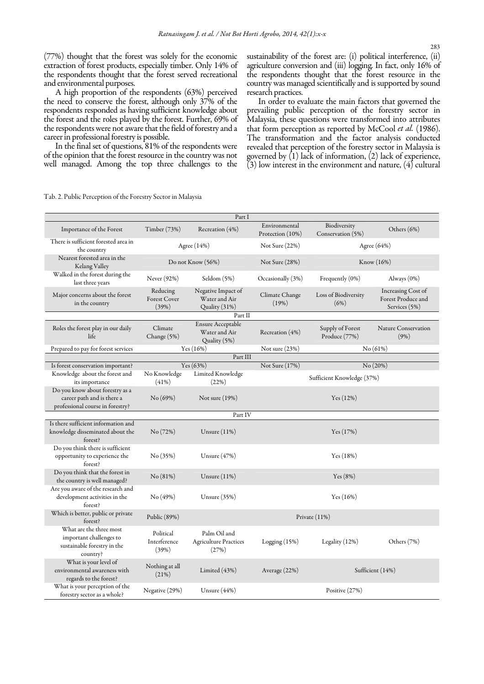(77%) thought that the forest was solely for the economic extraction of forest products, especially timber. Only 14% of the respondents thought that the forest served recreational and environmental purposes.

 respondents responded as having sufficient knowledge about A high proportion of the respondents (63%) perceived the need to conserve the forest, although only 37% of the the forest and the roles played by the forest. Further, 69% of the respondents were not aware that the field of forestry and a career in professional forestry is possible.

In the final set of questions, 81% of the respondents were of the opinion that the forest resource in the country was not well managed. Among the top three challenges to the sustainability of the forest are: (i) political interference, (ii) agriculture conversion and (iii) logging. In fact, only 16% of the respondents thought that the forest resource in the country was managed scientifically and is supported by sound research practices.

In order to evaluate the main factors that governed the prevailing public perception of the forestry sector in Malaysia, these questions were transformed into attributes that form perception as reported by McCool *et al.* (1986). The transformation and the factor analysis conducted revealed that perception of the forestry sector in Malaysia is governed by (1) lack of information, (2) lack of experience, (3) low interest in the environment and nature,  $(4)$  cultural

Tab. 2. Public Perception of the Forestry Sector in Malaysia

| Part I                                                                                            |                                    |                                                       |                                   |                                   |                                                           |  |  |
|---------------------------------------------------------------------------------------------------|------------------------------------|-------------------------------------------------------|-----------------------------------|-----------------------------------|-----------------------------------------------------------|--|--|
| Importance of the Forest                                                                          | Timber (73%)                       | Recreation (4%)                                       | Environmental<br>Protection (10%) | Biodiversity<br>Conservation (5%) | Others (6%)                                               |  |  |
| There is sufficient forested area in<br>the country                                               |                                    | Agree (14%)                                           | Not Sure (22%)                    | Agree (64%)                       |                                                           |  |  |
| Nearest forested area in the<br>Kelang Valley                                                     | Do not Know (56%)                  |                                                       | Not Sure $(28%)$                  | Know(16%)                         |                                                           |  |  |
| Walked in the forest during the<br>last three years                                               | Never (92%)                        | Seldom (5%)                                           | Occasionally $(3%)$               | Frequently (0%)                   | Always (0%)                                               |  |  |
| Major concerns about the forest<br>in the country                                                 | Reducing<br>Forest Cover<br>(39%)  | Negative Impact of<br>Water and Air<br>Quality (31%)  | Climate Change<br>(19%)           | Loss of Biodiversity<br>(6%)      | Increasing Cost of<br>Forest Produce and<br>Services (5%) |  |  |
|                                                                                                   |                                    | Part II                                               |                                   |                                   |                                                           |  |  |
| Roles the forest play in our daily<br>life                                                        | Climate<br>Change (5%)             | Ensure Acceptable<br>Water and Air<br>Quality (5%)    | Recreation (4%)                   | Supply of Forest<br>Produce (77%) | <b>Nature Conservation</b><br>(9%)                        |  |  |
| Prepared to pay for forest services                                                               | Yes(16%)                           |                                                       | Not sure $(23%)$                  | No(61%)                           |                                                           |  |  |
|                                                                                                   |                                    | Part III                                              |                                   |                                   |                                                           |  |  |
| Is forest conservation important?                                                                 |                                    | Yes $(63%)$                                           | Not Sure (17%)                    |                                   | No (20%)                                                  |  |  |
| Knowledge about the forest and<br>its importance                                                  | No Knowledge<br>(41%)              | Limited Knowledge<br>(22%)                            |                                   | Sufficient Knowledge (37%)        |                                                           |  |  |
| Do you know about forestry as a<br>career path and is there a<br>professional course in forestry? | No (69%)                           | Not sure (19%)                                        |                                   | Yes(12%)                          |                                                           |  |  |
|                                                                                                   |                                    | Part IV                                               |                                   |                                   |                                                           |  |  |
| Is there sufficient information and<br>knowledge disseminated about the<br>forest?                | No (72%)                           | Unsure $(11%)$                                        |                                   | Yes (17%)                         |                                                           |  |  |
| Do you think there is sufficient<br>opportunity to experience the<br>forest?                      | No(35%)                            | Unsure (47%)                                          |                                   | Yes(18%)                          |                                                           |  |  |
| Do you think that the forest in<br>the country is well managed?                                   | No (81%)                           | Unsure $(11%)$                                        |                                   | Yes (8%)                          |                                                           |  |  |
| Are you aware of the research and<br>development activities in the<br>forest?                     | No(49%)                            | Unsure $(35%)$                                        |                                   | Yes(16%)                          |                                                           |  |  |
| Which is better, public or private<br>forest?                                                     | Public (89%)                       | Private $(11%)$                                       |                                   |                                   |                                                           |  |  |
| What are the three most<br>important challenges to<br>sustainable forestry in the<br>country?     | Political<br>Interference<br>(39%) | Palm Oil and<br><b>Agriculture Practices</b><br>(27%) | Logging $(15%)$                   | Legality (12%)                    | Others (7%)                                               |  |  |
| What is your level of<br>environmental awareness with<br>regards to the forest?                   | Nothing at all<br>(21%)            | Limited $(43%)$                                       | Average $(22%)$                   | Sufficient (14%)                  |                                                           |  |  |
| What is your perception of the<br>forestry sector as a whole?                                     | Negative (29%)                     | Unsure $(44%)$                                        |                                   | Positive $(27%)$                  |                                                           |  |  |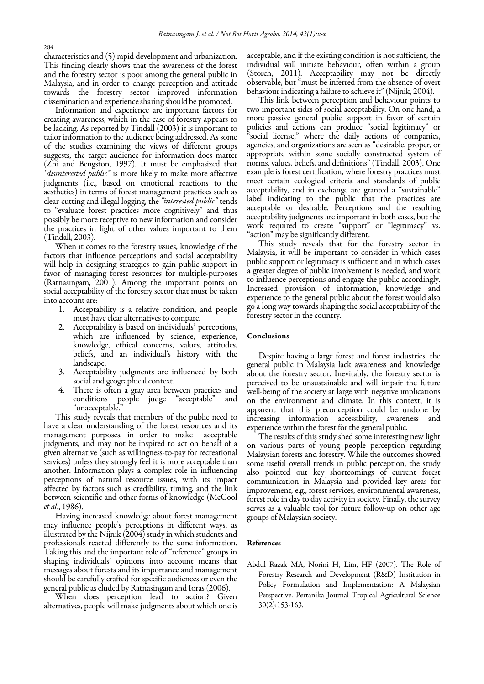characteristics and (5) rapid development and urbanization. This finding clearly shows that the awareness of the forest and the forestry sector is poor among the general public in Malaysia, and in order to change perception and attitude towards the forestry sector improved information dissemination and experience sharing should be promoted.

Information and experience are important factors for creating awareness, which in the case of forestry appears to be lacking. As reported by Tindall (2003) it is important to tailor information to the audience being addressed. As some of the studies examining the views of different groups suggests, the target audience for information does matter (Zhi and Bengston, 1997). It must be emphasized that *"disinterested public"* is more likely to make more affective judgments (i.e., based on emotional reactions to the aesthetics) in terms of forest management practices such as clear-cutting and illegal logging, the *"interested public"* tends to "evaluate forest practices more cognitively" and thus possibly be more receptive to new information and consider the practices in light of other values important to them (Tindall, 2003).

When it comes to the forestry issues, knowledge of the factors that influence perceptions and social acceptability will help in designing strategies to gain public support in favor of managing forest resources for multiple-purposes (Ratnasingam, 2001). Among the important points on social acceptability of the forestry sector that must be taken into account are:

- 1. Acceptability is a relative condition, and people must have clear alternatives to compare.
- 2. Acceptability is based on individuals' perceptions, which are influenced by science, experience, knowledge, ethical concerns, values, attitudes, beliefs, and an individual's history with the landscape.
- 3. Acceptability judgments are influenced by both social and geographical context.
- 4. There is often a gray area between practices and conditions people judge "acceptable" and "unacceptable."

This study reveals that members of the public need to have a clear understanding of the forest resources and its management purposes, in order to make acceptable judgments, and may not be inspired to act on behalf of a given alternative (such as willingness-to-pay for recreational services) unless they strongly feel it is more acceptable than another. Information plays a complex role in influencing perceptions of natural resource issues, with its impact affected by factors such as credibility, timing, and the link between scientific and other forms of knowledge (McCool *et al*., 1986).

Having increased knowledge about forest management may influence people's perceptions in different ways, as illustrated by the Nijnik (2004) study in which students and professionals reacted differently to the same information. Taking this and the important role of "reference" groups in shaping individuals' opinions into account means that messages about forests and its importance and management should be carefully crafted for specific audiences or even the general public as eluded by Ratnasingam and Ioras (2006).

When does perception lead to action? Given alternatives, people will make judgments about which one is acceptable, and if the existing condition is not sufficient, the individual will initiate behaviour, often within a group (Storch, 2011). Acceptability may not be directly observable, but "must be inferred from the absence of overt behaviour indicating a failure to achieve it" (Nijnik, 2004).

This link between perception and behaviour points to two important sides of social acceptability. On one hand, a more passive general public support in favor of certain policies and actions can produce "social legitimacy" or 'social license," where the daily actions of companies, agencies, and organizations are seen as "desirable, proper, or appropriate within some socially constructed system of norms, values, beliefs, and definitions" (Tindall, 2003). One example is forest certification, where forestry practices must meet certain ecological criteria and standards of public acceptability, and in exchange are granted a "sustainable" label indicating to the public that the practices are acceptable or desirable. Perceptions and the resulting acceptability judgments are important in both cases, but the work required to create "support" or "legitimacy" vs. "action" may be significantly different.

This study reveals that for the forestry sector in Malaysia, it will be important to consider in which cases public support or legitimacy is sufficient and in which cases a greater degree of public involvement is needed, and work to influence perceptions and engage the public accordingly. Increased provision of information, knowledge and experience to the general public about the forest would also go a long way towards shaping the social acceptability of the forestry sector in the country.

#### Conclusions

Despite having a large forest and forest industries, the general public in Malaysia lack awareness and knowledge about the forestry sector. Inevitably, the forestry sector is perceived to be unsustainable and will impair the future well-being of the society at large with negative implications on the environment and climate. In this context, it is apparent that this preconception could be undone by increasing information accessibility, awareness and experience within the forest for the general public.

The results of this study shed some interesting new light on various parts of young people perception regarding Malaysian forests and forestry. While the outcomes showed some useful overall trends in public perception, the study also pointed out key shortcomings of current forest communication in Malaysia and provided key areas for improvement, e.g., forest services, environmental awareness, forest role in day to day activity in society. Finally, the survey serves as a valuable tool for future follow-up on other age groups of Malaysian society.

### References

Abdul Razak MA, Norini H, Lim, HF (2007). The Role of Forestry Research and Development (R&D) Institution in Policy Formulation and Implementation: A Malaysian Perspective. Pertanika Journal Tropical Agricultural Science 30(2):153-163.